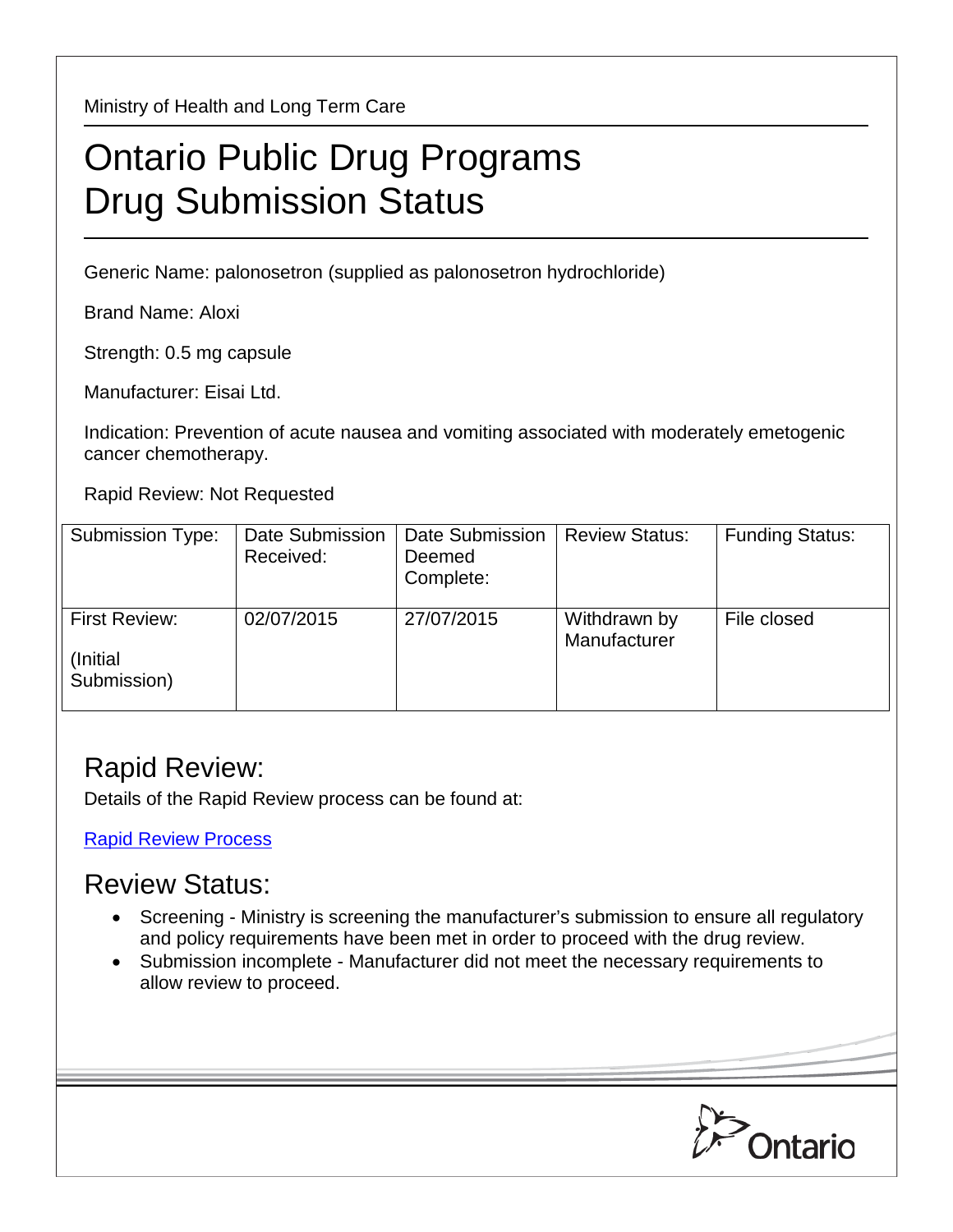Ministry of Health and Long Term Care

## Ontario Public Drug Programs Drug Submission Status

Generic Name: palonosetron (supplied as palonosetron hydrochloride)

Brand Name: Aloxi

Strength: 0.5 mg capsule

Manufacturer: Eisai Ltd.

Indication: Prevention of acute nausea and vomiting associated with moderately emetogenic cancer chemotherapy.

Rapid Review: Not Requested

| Submission Type:                          | Date Submission<br>Received: | Date Submission<br>Deemed<br>Complete: | <b>Review Status:</b>        | <b>Funding Status:</b> |
|-------------------------------------------|------------------------------|----------------------------------------|------------------------------|------------------------|
| First Review:<br>(Initial)<br>Submission) | 02/07/2015                   | 27/07/2015                             | Withdrawn by<br>Manufacturer | File closed            |

## Rapid Review:

Details of the Rapid Review process can be found at:

[Rapid Review Process](http://www.health.gov.on.ca/en/pro/programs/drugs/drug_submissions/rapid_review_process.aspx)

## Review Status:

- Screening Ministry is screening the manufacturer's submission to ensure all regulatory and policy requirements have been met in order to proceed with the drug review.
- Submission incomplete Manufacturer did not meet the necessary requirements to allow review to proceed.